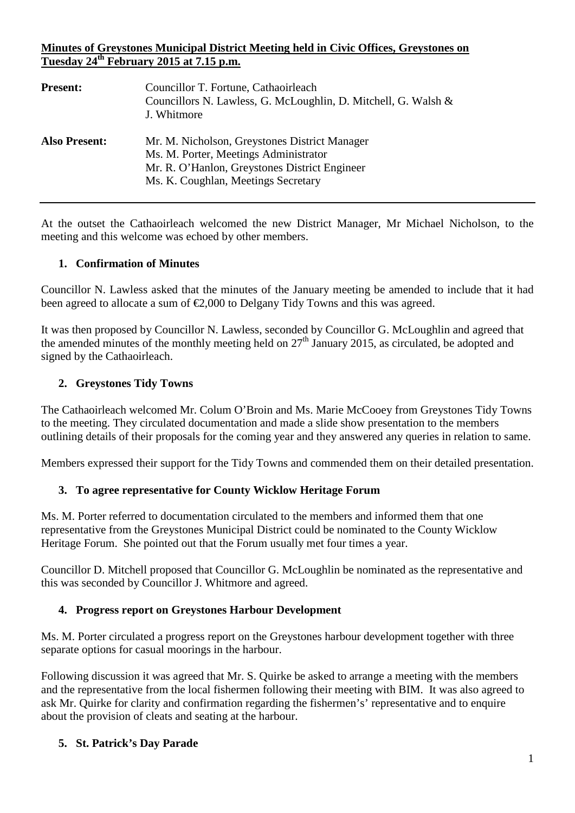## **Minutes of Greystones Municipal District Meeting held in Civic Offices, Greystones on Tuesday 24th February 2015 at 7.15 p.m.**

| <b>Present:</b>      | Councillor T. Fortune, Cathaoirleach<br>Councillors N. Lawless, G. McLoughlin, D. Mitchell, G. Walsh &<br>J. Whitmore                                                          |
|----------------------|--------------------------------------------------------------------------------------------------------------------------------------------------------------------------------|
| <b>Also Present:</b> | Mr. M. Nicholson, Greystones District Manager<br>Ms. M. Porter, Meetings Administrator<br>Mr. R. O'Hanlon, Greystones District Engineer<br>Ms. K. Coughlan, Meetings Secretary |

At the outset the Cathaoirleach welcomed the new District Manager, Mr Michael Nicholson, to the meeting and this welcome was echoed by other members.

## **1. Confirmation of Minutes**

Councillor N. Lawless asked that the minutes of the January meeting be amended to include that it had been agreed to allocate a sum of €2,000 to Delgany Tidy Towns and this was agreed.

It was then proposed by Councillor N. Lawless, seconded by Councillor G. McLoughlin and agreed that the amended minutes of the monthly meeting held on  $27<sup>th</sup>$  January 2015, as circulated, be adopted and signed by the Cathaoirleach.

## **2. Greystones Tidy Towns**

The Cathaoirleach welcomed Mr. Colum O'Broin and Ms. Marie McCooey from Greystones Tidy Towns to the meeting. They circulated documentation and made a slide show presentation to the members outlining details of their proposals for the coming year and they answered any queries in relation to same.

Members expressed their support for the Tidy Towns and commended them on their detailed presentation.

### **3. To agree representative for County Wicklow Heritage Forum**

Ms. M. Porter referred to documentation circulated to the members and informed them that one representative from the Greystones Municipal District could be nominated to the County Wicklow Heritage Forum. She pointed out that the Forum usually met four times a year.

Councillor D. Mitchell proposed that Councillor G. McLoughlin be nominated as the representative and this was seconded by Councillor J. Whitmore and agreed.

### **4. Progress report on Greystones Harbour Development**

Ms. M. Porter circulated a progress report on the Greystones harbour development together with three separate options for casual moorings in the harbour.

Following discussion it was agreed that Mr. S. Quirke be asked to arrange a meeting with the members and the representative from the local fishermen following their meeting with BIM. It was also agreed to ask Mr. Quirke for clarity and confirmation regarding the fishermen's' representative and to enquire about the provision of cleats and seating at the harbour.

# **5. St. Patrick's Day Parade**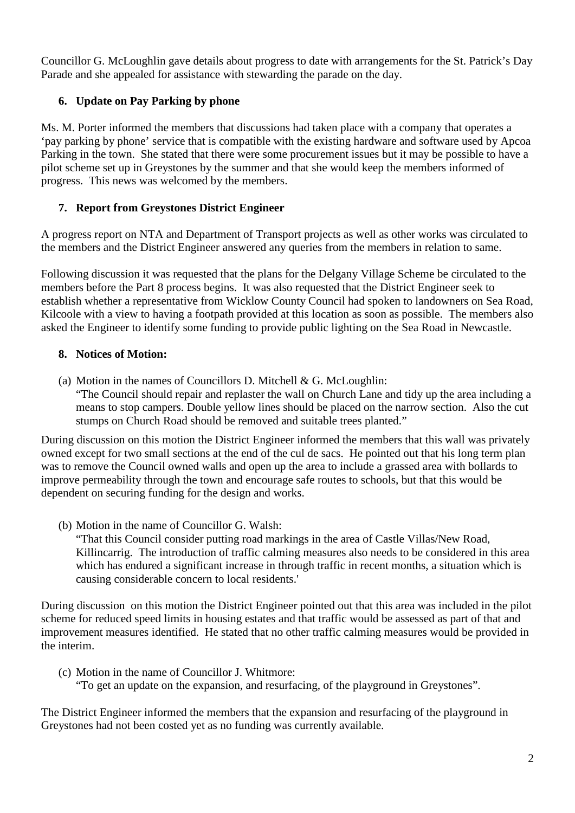Councillor G. McLoughlin gave details about progress to date with arrangements for the St. Patrick's Day Parade and she appealed for assistance with stewarding the parade on the day.

# **6. Update on Pay Parking by phone**

Ms. M. Porter informed the members that discussions had taken place with a company that operates a 'pay parking by phone' service that is compatible with the existing hardware and software used by Apcoa Parking in the town. She stated that there were some procurement issues but it may be possible to have a pilot scheme set up in Greystones by the summer and that she would keep the members informed of progress. This news was welcomed by the members.

# **7. Report from Greystones District Engineer**

A progress report on NTA and Department of Transport projects as well as other works was circulated to the members and the District Engineer answered any queries from the members in relation to same.

Following discussion it was requested that the plans for the Delgany Village Scheme be circulated to the members before the Part 8 process begins. It was also requested that the District Engineer seek to establish whether a representative from Wicklow County Council had spoken to landowners on Sea Road, Kilcoole with a view to having a footpath provided at this location as soon as possible. The members also asked the Engineer to identify some funding to provide public lighting on the Sea Road in Newcastle.

# **8. Notices of Motion:**

(a) Motion in the names of Councillors D. Mitchell  $& G.$  McLoughlin: "The Council should repair and replaster the wall on Church Lane and tidy up the area including a means to stop campers. Double yellow lines should be placed on the narrow section. Also the cut stumps on Church Road should be removed and suitable trees planted."

During discussion on this motion the District Engineer informed the members that this wall was privately owned except for two small sections at the end of the cul de sacs. He pointed out that his long term plan was to remove the Council owned walls and open up the area to include a grassed area with bollards to improve permeability through the town and encourage safe routes to schools, but that this would be dependent on securing funding for the design and works.

(b) Motion in the name of Councillor G. Walsh:

"That this Council consider putting road markings in the area of Castle Villas/New Road, Killincarrig. The introduction of traffic calming measures also needs to be considered in this area which has endured a significant increase in through traffic in recent months, a situation which is causing considerable concern to local residents.'

During discussion on this motion the District Engineer pointed out that this area was included in the pilot scheme for reduced speed limits in housing estates and that traffic would be assessed as part of that and improvement measures identified. He stated that no other traffic calming measures would be provided in the interim.

(c) Motion in the name of Councillor J. Whitmore:

"To get an update on the expansion, and resurfacing, of the playground in Greystones".

The District Engineer informed the members that the expansion and resurfacing of the playground in Greystones had not been costed yet as no funding was currently available.